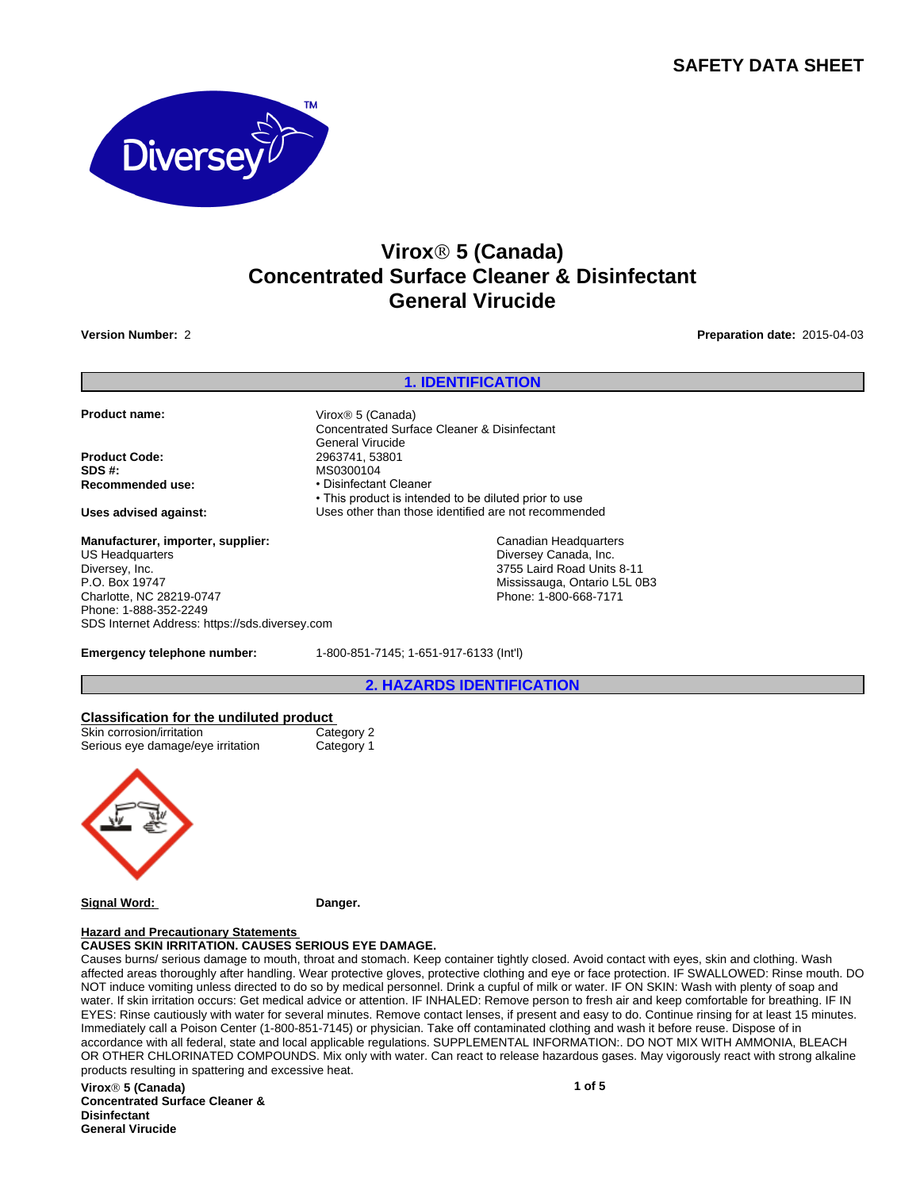# **SAFETY DATA SHEET**



# **ViroxÒ 5 (Canada) Concentrated Surface Cleaner & Disinfectant General Virucide**

**Version Number:** 2 **Preparation date:** 2015-04-03

## **1. IDENTIFICATION Product name:** Virox<sup>®</sup> 5 (Canada) Concentrated Surface Cleaner & Disinfectant General Virucide **Product Code:** 2963741, 53801 **SDS #:** MS0300104 **Recommended use:** • **Disinfectant Cleaner** • This product is intended to be diluted prior to use **Uses advised against:** Uses other than those identified are not recommended **Emergency telephone number:** 1-800-851-7145; 1-651-917-6133 (Int'l) **2. HAZARDS IDENTIFICATION Classification for the undiluted product** Skin corrosion/irritation Serious eye damage/eye irritation Category 1 **Manufacturer, importer, supplier:** US Headquarters Diversey, Inc. P.O. Box 19747 Charlotte, NC 28219-0747 Phone: 1-888-352-2249 SDS Internet Address: https://sds.diversey.com Canadian Headquarters Diversey Canada, Inc. 3755 Laird Road Units 8-11 Mississauga, Ontario L5L 0B3 Phone: 1-800-668-7171

**Signal Word: Danger.**

#### **Hazard and Precautionary Statements CAUSES SKIN IRRITATION. CAUSES SERIOUS EYE DAMAGE.**

Causes burns/ serious damage to mouth, throat and stomach. Keep container tightly closed. Avoid contact with eyes, skin and clothing. Wash affected areas thoroughly after handling. Wear protective gloves, protective clothing and eye or face protection. IF SWALLOWED: Rinse mouth. DO NOT induce vomiting unless directed to do so by medical personnel. Drink a cupful of milk or water. IF ON SKIN: Wash with plenty of soap and water. If skin irritation occurs: Get medical advice or attention. IF INHALED: Remove person to fresh air and keep comfortable for breathing. IF IN EYES: Rinse cautiously with water for several minutes. Remove contact lenses, if present and easy to do. Continue rinsing for at least 15 minutes. Immediately call a Poison Center (1-800-851-7145) or physician. Take off contaminated clothing and wash it before reuse. Dispose of in accordance with all federal, state and local applicable regulations. SUPPLEMENTAL INFORMATION:. DO NOT MIX WITH AMMONIA, BLEACH OR OTHER CHLORINATED COMPOUNDS. Mix only with water. Can react to release hazardous gases. May vigorously react with strong alkaline products resulting in spattering and excessive heat.

**ViroxÒ 5 (Canada) Concentrated Surface Cleaner & Disinfectant General Virucide**

**1 of 5**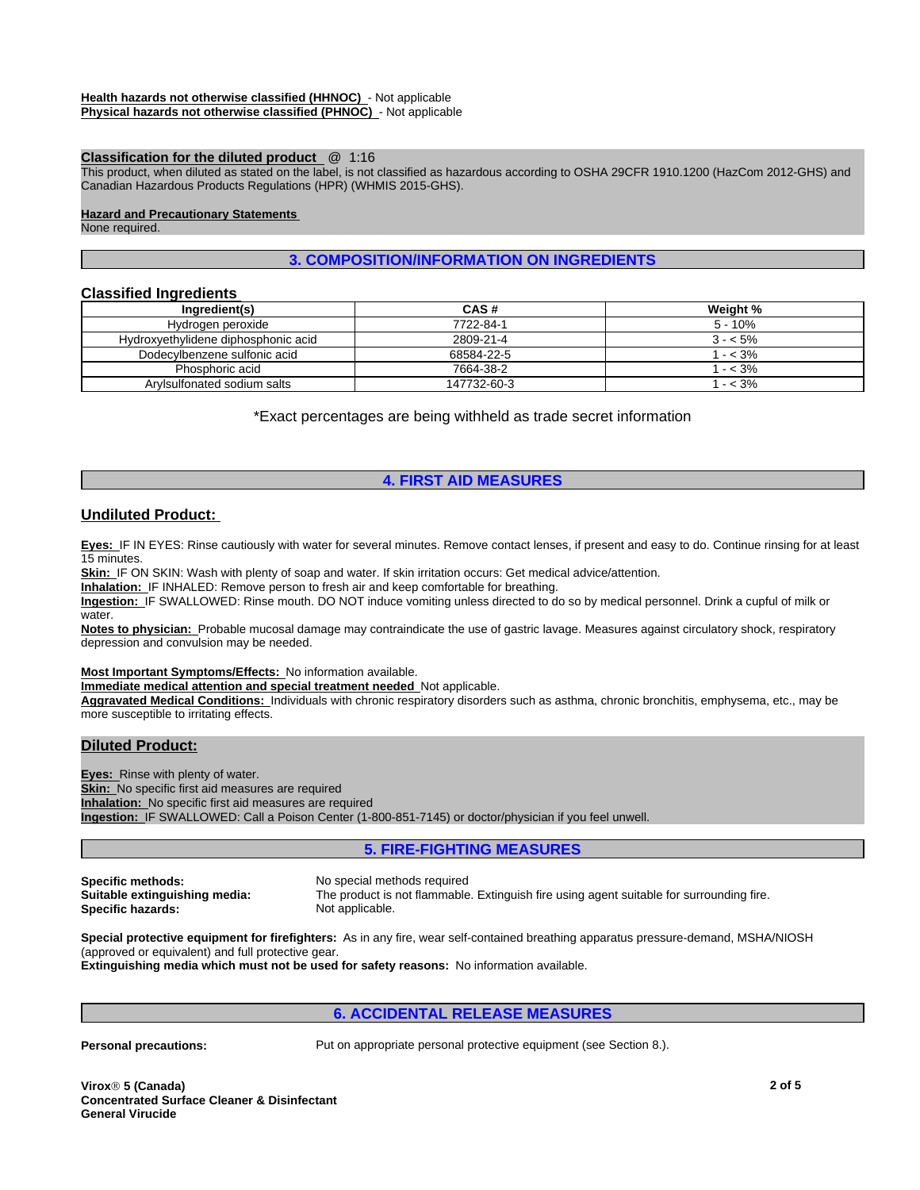### **Classification for the diluted product** @ 1:16

This product, when diluted as stated on the label, is not classified as hazardous according to OSHA 29CFR 1910.1200 (HazCom 2012-GHS) and Canadian Hazardous Products Regulations (HPR) (WHMIS 2015-GHS).

#### **Hazard and Precautionary Statements**

None required.

### **3. COMPOSITION/INFORMATION ON INGREDIENTS**

### **Classified Ingredients**

| Ingredient(s)                       | CAS#        | Weight %  |
|-------------------------------------|-------------|-----------|
| Hydrogen peroxide                   | 7722-84-1   | $5 - 10%$ |
| Hydroxyethylidene diphosphonic acid | 2809-21-4   | $3 - 5\%$ |
| Dodecylbenzene sulfonic acid        | 68584-22-5  | $- < 3\%$ |
| Phosphoric acid                     | 7664-38-2   | $- < 3\%$ |
| Arvisulfonated sodium salts         | 147732-60-3 | $- < 3\%$ |

\*Exact percentages are being withheld as trade secret information

### **4. FIRST AID MEASURES**

### **Undiluted Product:**

**Eyes:** IF IN EYES: Rinse cautiously with water for several minutes. Remove contact lenses, if present and easy to do. Continue rinsing for at least 15 minutes.

**Skin:** IF ON SKIN: Wash with plenty of soap and water. If skin irritation occurs: Get medical advice/attention.

**Inhalation:** IF INHALED: Remove person to fresh air and keep comfortable for breathing.

**Ingestion:** IF SWALLOWED: Rinse mouth. DO NOT induce vomiting unless directed to do so by medical personnel. Drink a cupful of milk or water.

**Notes to physician:** Probable mucosal damage may contraindicate the use of gastric lavage. Measures against circulatory shock, respiratory depression and convulsion may be needed.

### **Most Important Symptoms/Effects:** No information available.

**Immediate medical attention and special treatment needed** Not applicable.

**Aggravated Medical Conditions:** Individuals with chronic respiratory disorders such as asthma, chronic bronchitis, emphysema, etc., may be more susceptible to irritating effects.

### **Diluted Product:**

**Eyes:** Rinse with plenty of water. **Skin:** No specific first aid measures are required **Inhalation:** No specific first aid measures are required **Ingestion:** IF SWALLOWED: Call a Poison Center (1-800-851-7145) or doctor/physician if you feel unwell.

### **5. FIRE-FIGHTING MEASURES**

**Specific methods:** No special methods required **Specific hazards:** 

**Suitable extinguishing media:** The product is not flammable. Extinguish fire using agent suitable for surrounding fire.

**Special protective equipment for firefighters:** As in any fire, wear self-contained breathing apparatus pressure-demand, MSHA/NIOSH (approved or equivalent) and full protective gear.

**Extinguishing media which must not be used for safety reasons:** No information available.

### **6. ACCIDENTAL RELEASE MEASURES**

**Personal precautions:** Put on appropriate personal protective equipment (see Section 8.).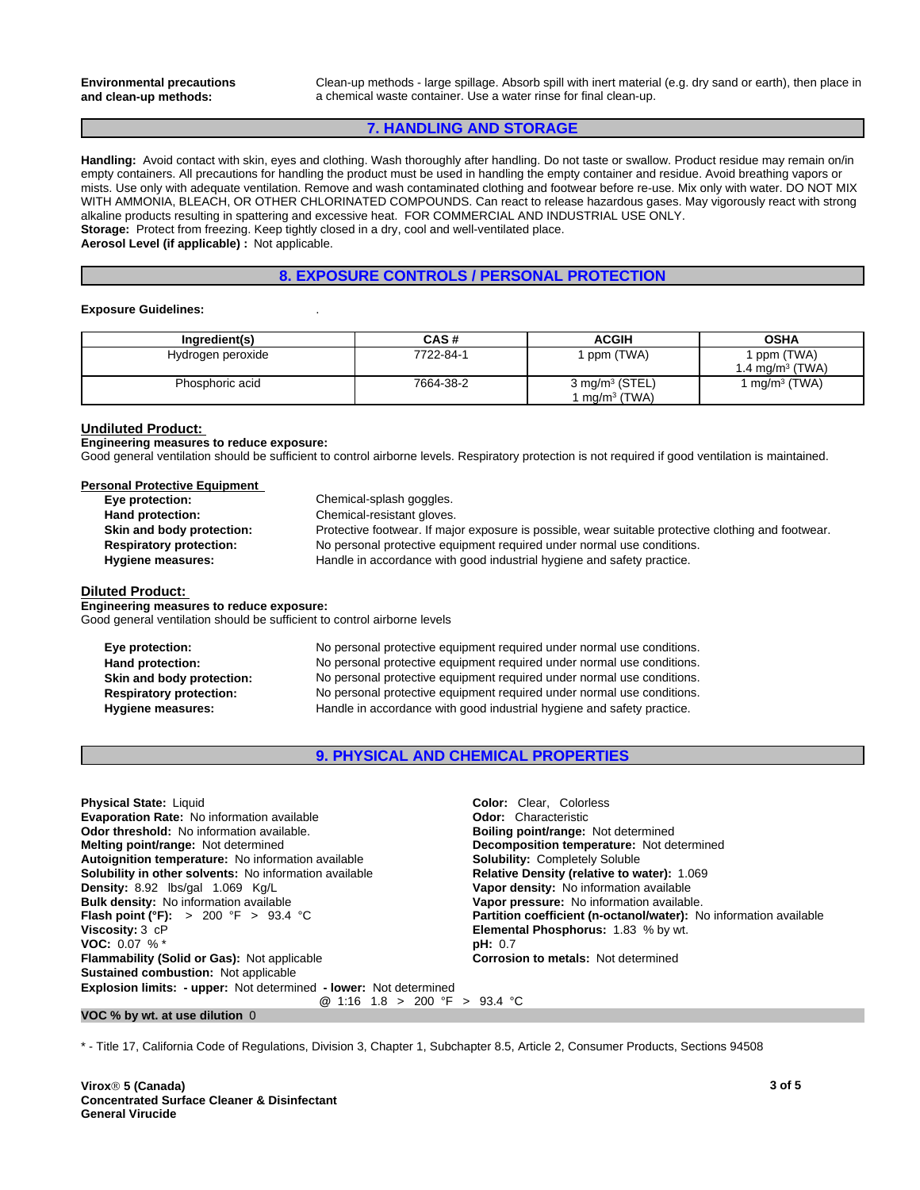Clean-up methods - large spillage. Absorb spill with inert material (e.g. dry sand or earth), then place in a chemical waste container. Use a water rinse for final clean-up.

### **7. HANDLING AND STORAGE**

**Handling:** Avoid contact with skin, eyes and clothing. Wash thoroughly after handling. Do not taste or swallow. Product residue may remain on/in empty containers. All precautions for handling the product must be used in handling the empty container and residue. Avoid breathing vapors or mists. Use only with adequate ventilation. Remove and wash contaminated clothing and footwear before re-use. Mix only with water. DO NOT MIX WITH AMMONIA, BLEACH, OR OTHER CHLORINATED COMPOUNDS. Can react to release hazardous gases. May vigorously react with strong alkaline products resulting in spattering and excessive heat. FOR COMMERCIAL AND INDUSTRIAL USE ONLY. **Storage:** Protect from freezing. Keep tightly closed in a dry, cool and well-ventilated place. **Aerosol Level (if applicable) :** Not applicable.

### **8. EXPOSURE CONTROLS / PERSONAL PROTECTION**

#### **Exposure Guidelines:** .

| Ingredient(s)     | CAS#      | <b>ACGIH</b>                 | <b>OSHA</b>                 |
|-------------------|-----------|------------------------------|-----------------------------|
| Hydrogen peroxide | 7722-84-1 | ppm (TWA)                    | ppm (TWA)                   |
|                   |           |                              | I.4 ma/m <sup>3</sup> (TWA) |
| Phosphoric acid   | 7664-38-2 | $3$ mg/m <sup>3</sup> (STEL) | $mq/m^3$ (TWA)              |
|                   |           | l ma/m <sup>3</sup> (TWA).   |                             |

#### **Undiluted Product:**

**Engineering measures to reduce exposure:** Good general ventilation should be sufficient to control airborne levels. Respiratory protection is not required if good ventilation is maintained.

| Personal Protective Equipment  |                                                                                                     |
|--------------------------------|-----------------------------------------------------------------------------------------------------|
| Eye protection:                | Chemical-splash goggles.                                                                            |
| Hand protection:               | Chemical-resistant gloves.                                                                          |
| Skin and body protection:      | Protective footwear. If major exposure is possible, wear suitable protective clothing and footwear. |
| <b>Respiratory protection:</b> | No personal protective equipment required under normal use conditions.                              |
| <b>Hygiene measures:</b>       | Handle in accordance with good industrial hygiene and safety practice.                              |

#### **Diluted Product:**

**Engineering measures to reduce exposure:** Good general ventilation should be sufficient to control airborne levels

**Eye protection:** No personal protective equipment required under normal use conditions. Hand protection: No personal protective equipment required under normal use conditions. **Skin and body protection:** No personal protective equipment required under normal use conditions. **Respiratory protection:** No personal protective equipment required under normal use conditions. **Hygiene measures:** Handle in accordance with good industrial hygiene and safety practice.

### **9. PHYSICAL AND CHEMICAL PROPERTIES**

| <b>Physical State: Liquid</b>                                            | <b>Color:</b> Clear. Colorless                                    |
|--------------------------------------------------------------------------|-------------------------------------------------------------------|
| <b>Evaporation Rate: No information available</b>                        | <b>Odor:</b> Characteristic                                       |
| <b>Odor threshold:</b> No information available.                         | <b>Boiling point/range: Not determined</b>                        |
| <b>Melting point/range: Not determined</b>                               | Decomposition temperature: Not determined                         |
| Autoignition temperature: No information available                       | <b>Solubility: Completely Soluble</b>                             |
| <b>Solubility in other solvents:</b> No information available            | Relative Density (relative to water): 1.069                       |
| Density: 8.92 lbs/gal 1.069 Kg/L                                         | Vapor density: No information available                           |
| <b>Bulk density:</b> No information available                            | Vapor pressure: No information available.                         |
| <b>Flash point (°F):</b> > 200 °F > 93.4 °C                              | Partition coefficient (n-octanol/water): No information available |
| Viscosity: 3 cP                                                          | <b>Elemental Phosphorus: 1.83 % by wt.</b>                        |
| <b>VOC:</b> 0.07 % $*$                                                   | pH: 0.7                                                           |
| <b>Flammability (Solid or Gas): Not applicable</b>                       | <b>Corrosion to metals: Not determined</b>                        |
| <b>Sustained combustion: Not applicable</b>                              |                                                                   |
| <b>Explosion limits: - upper:</b> Not determined - lower: Not determined |                                                                   |
| @ 1:16 1.8 > 200 °F > 93.4 °C                                            |                                                                   |

### **VOC % by wt. at use dilution** 0

\* - Title 17, California Code of Regulations, Division 3, Chapter 1, Subchapter 8.5, Article 2, Consumer Products, Sections 94508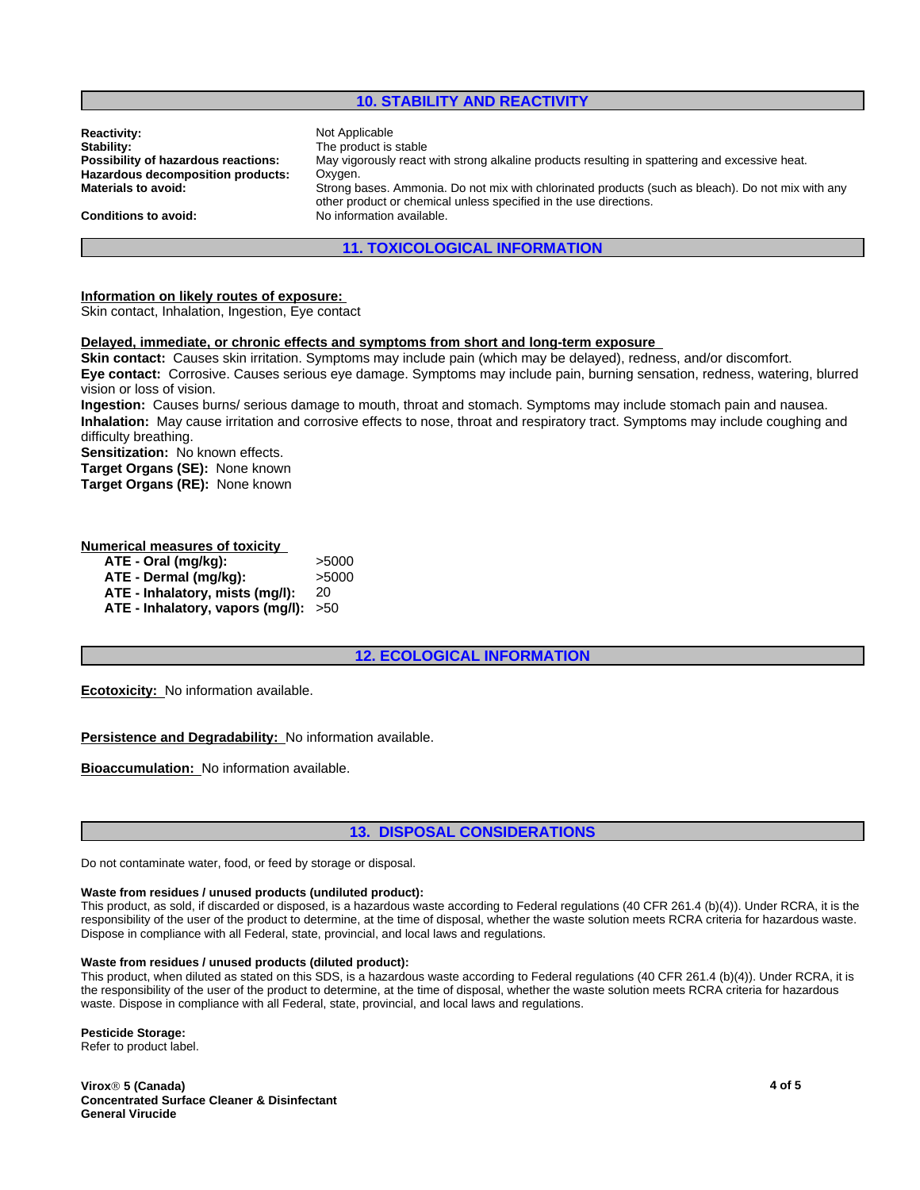### **10. STABILITY AND REACTIVITY**

| <b>Reactivity:</b>                  | Not Applicable                                                                                                                                                         |  |
|-------------------------------------|------------------------------------------------------------------------------------------------------------------------------------------------------------------------|--|
| Stability:                          | The product is stable                                                                                                                                                  |  |
| Possibility of hazardous reactions: | May vigorously react with strong alkaline products resulting in spattering and excessive heat.                                                                         |  |
| Hazardous decomposition products:   | Oxygen.                                                                                                                                                                |  |
| Materials to avoid:                 | Strong bases. Ammonia. Do not mix with chlorinated products (such as bleach). Do not mix with any<br>other product or chemical unless specified in the use directions. |  |
| Conditions to avoid:                | No information available.                                                                                                                                              |  |
|                                     | <b>11. TOXICOLOGICAL INFORMATION</b>                                                                                                                                   |  |

#### **Information on likely routes of exposure:**

Skin contact, Inhalation, Ingestion, Eye contact

### **Delayed, immediate, or chronic effects and symptoms from short and long-term exposure**

**Skin contact:** Causes skin irritation. Symptoms may include pain (which may be delayed), redness, and/or discomfort. **Eye contact:** Corrosive. Causes serious eye damage. Symptoms may include pain, burning sensation, redness, watering, blurred vision or loss of vision.

**Ingestion:** Causes burns/ serious damage to mouth, throat and stomach. Symptoms may include stomach pain and nausea. **Inhalation:** May cause irritation and corrosive effects to nose, throat and respiratory tract. Symptoms may include coughing and difficulty breathing.

**Sensitization:** No known effects.

**Target Organs (SE):** None known

**Target Organs (RE):** None known

#### **Numerical measures of toxicity**

| ATE - Oral (mg/kg):                    | >5000 |
|----------------------------------------|-------|
| ATE - Dermal (mg/kg):                  | >5000 |
| ATE - Inhalatory, mists (mg/l):        | 20    |
| ATE - Inhalatory, vapors (mg/l): $>50$ |       |

### **12. ECOLOGICAL INFORMATION**

**Ecotoxicity:** No information available.

### **Persistence and Degradability:** No information available.

**Bioaccumulation:** No information available.

### **13. DISPOSAL CONSIDERATIONS**

Do not contaminate water, food, or feed by storage or disposal.

#### **Waste from residues / unused products (undiluted product):**

This product, as sold, if discarded or disposed, is a hazardous waste according to Federal regulations (40 CFR 261.4 (b)(4)). Under RCRA, it is the responsibility of the user of the product to determine, at the time of disposal, whether the waste solution meets RCRA criteria for hazardous waste. Dispose in compliance with all Federal, state, provincial, and local laws and regulations.

#### **Waste from residues / unused products (diluted product):**

This product, when diluted as stated on this SDS, is a hazardous waste according to Federal regulations (40 CFR 261.4 (b)(4)). Under RCRA, it is the responsibility of the user of the product to determine, at the time of disposal, whether the waste solution meets RCRA criteria for hazardous waste. Dispose in compliance with all Federal, state, provincial, and local laws and regulations.

#### **Pesticide Storage:**

Refer to product label.